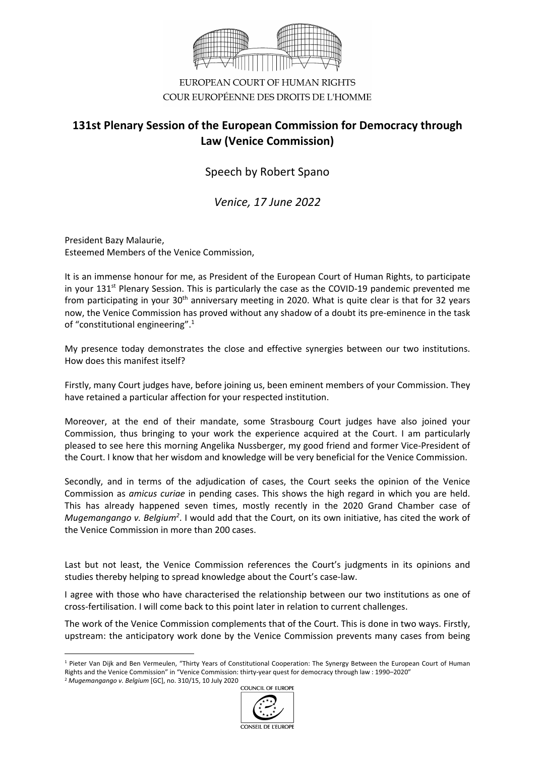

EUROPEAN COURT OF HUMAN RIGHTS COUR EUROPÉENNE DES DROITS DE L'HOMME

## **131st Plenary Session of the European Commission for Democracy through Law (Venice Commission)**

Speech by Robert Spano

*Venice, 17 June 2022*

President Bazy Malaurie, Esteemed Members of the Venice Commission,

It is an immense honour for me, as President of the European Court of Human Rights, to participate in your  $131<sup>st</sup>$  Plenary Session. This is particularly the case as the COVID-19 pandemic prevented me from participating in your 30<sup>th</sup> anniversary meeting in 2020. What is quite clear is that for 32 years now, the Venice Commission has proved without any shadow of a doubt its pre-eminence in the task of "constitutional engineering".1

My presence today demonstrates the close and effective synergies between our two institutions. How does this manifest itself?

Firstly, many Court judges have, before joining us, been eminent members of your Commission. They have retained a particular affection for your respected institution.

Moreover, at the end of their mandate, some Strasbourg Court judges have also joined your Commission, thus bringing to your work the experience acquired at the Court. I am particularly pleased to see here this morning Angelika Nussberger, my good friend and former Vice-President of the Court. I know that her wisdom and knowledge will be very beneficial for the Venice Commission.

Secondly, and in terms of the adjudication of cases, the Court seeks the opinion of the Venice Commission as *amicus curiae* in pending cases. This shows the high regard in which you are held. This has already happened seven times, mostly recently in the 2020 Grand Chamber case of Mugemangango v. Belgium<sup>2</sup>. I would add that the Court, on its own initiative, has cited the work of the Venice Commission in more than 200 cases.

Last but not least, the Venice Commission references the Court's judgments in its opinions and studies thereby helping to spread knowledge about the Court's case-law.

I agree with those who have characterised the relationship between our two institutions as one of cross-fertilisation. I will come back to this point later in relation to current challenges.

The work of the Venice Commission complements that of the Court. This is done in two ways. Firstly, upstream: the anticipatory work done by the Venice Commission prevents many cases from being

<sup>2</sup> *Mugemangango v. Belgium* [GC], no. 310/15, 10 July 2020



<sup>&</sup>lt;sup>1</sup> Pieter Van Dijk and Ben Vermeulen, "Thirty Years of Constitutional Cooperation: The Synergy Between the European Court of Human Rights and the Venice Commission" in "Venice Commission: thirty-year quest for democracy through law : 1990–2020"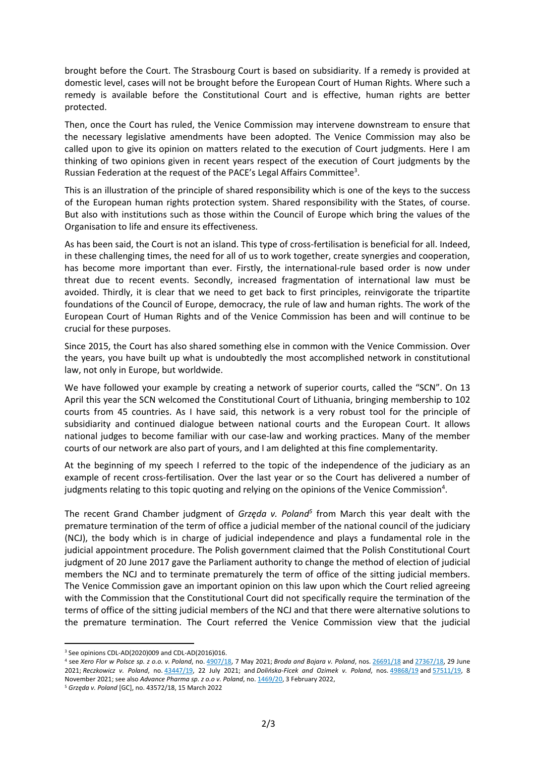brought before the Court. The Strasbourg Court is based on subsidiarity. If a remedy is provided at domestic level, cases will not be brought before the European Court of Human Rights. Where such a remedy is available before the Constitutional Court and is effective, human rights are better protected.

Then, once the Court has ruled, the Venice Commission may intervene downstream to ensure that the necessary legislative amendments have been adopted. The Venice Commission may also be called upon to give its opinion on matters related to the execution of Court judgments. Here I am thinking of two opinions given in recent years respect of the execution of Court judgments by the Russian Federation at the request of the PACE's Legal Affairs Committee<sup>3</sup>.

This is an illustration of the principle of shared responsibility which is one of the keys to the success of the European human rights protection system. Shared responsibility with the States, of course. But also with institutions such as those within the Council of Europe which bring the values of the Organisation to life and ensure its effectiveness.

As has been said, the Court is not an island. This type of cross-fertilisation is beneficial for all. Indeed, in these challenging times, the need for all of us to work together, create synergies and cooperation, has become more important than ever. Firstly, the international-rule based order is now under threat due to recent events. Secondly, increased fragmentation of international law must be avoided. Thirdly, it is clear that we need to get back to first principles, reinvigorate the tripartite foundations of the Council of Europe, democracy, the rule of law and human rights. The work of the European Court of Human Rights and of the Venice Commission has been and will continue to be crucial for these purposes.

Since 2015, the Court has also shared something else in common with the Venice Commission. Over the years, you have built up what is undoubtedly the most accomplished network in constitutional law, not only in Europe, but worldwide.

We have followed your example by creating a network of superior courts, called the "SCN". On 13 April this year the SCN welcomed the Constitutional Court of Lithuania, bringing membership to 102 courts from 45 countries. As I have said, this network is a very robust tool for the principle of subsidiarity and continued dialogue between national courts and the European Court. It allows national judges to become familiar with our case-law and working practices. Many of the member courts of our network are also part of yours, and I am delighted at this fine complementarity.

At the beginning of my speech I referred to the topic of the independence of the judiciary as an example of recent cross-fertilisation. Over the last year or so the Court has delivered a number of judgments relating to this topic quoting and relying on the opinions of the Venice Commission<sup>4</sup>.

The recent Grand Chamber judgment of *Grzęda v. Poland<sup>5</sup>* from March this year dealt with the premature termination of the term of office a judicial member of the national council of the judiciary (NCJ), the body which is in charge of judicial independence and plays a fundamental role in the judicial appointment procedure. The Polish government claimed that the Polish Constitutional Court judgment of 20 June 2017 gave the Parliament authority to change the method of election of judicial members the NCJ and to terminate prematurely the term of office of the sitting judicial members. The Venice Commission gave an important opinion on this law upon which the Court relied agreeing with the Commission that the Constitutional Court did not specifically require the termination of the terms of office of the sitting judicial members of the NCJ and that there were alternative solutions to the premature termination. The Court referred the Venice Commission view that the judicial

<sup>&</sup>lt;sup>3</sup> See opinions CDL-AD(2020)009 and CDL-AD(2016)016.

<sup>4</sup> see *Xero Flor w Polsce sp. z o.o. v. Poland*, no. [4907/18,](https://hudoc.echr.coe.int/eng#%7B%22appno%22:%5B%224907/18%22%5D%7D) 7 May 2021; *Broda and Bojara v. Poland*, nos. [26691/18](https://hudoc.echr.coe.int/eng#%7B%22appno%22:%5B%2226691/18%22%5D%7D) and [27367/18,](https://hudoc.echr.coe.int/eng#%7B%22appno%22:%5B%2227367/18%22%5D%7D) 29 June 2021; *Reczkowicz v. Poland*, no. [43447/19,](https://hudoc.echr.coe.int/eng#%7B%22appno%22:%5B%2243447/19%22%5D%7D) 22 July 2021; and *Dolińska-Ficek and Ozimek v. Poland*, nos. [49868/19](https://hudoc.echr.coe.int/eng#%7B%22appno%22:%5B%2249868/19%22%5D%7D) and [57511/19,](https://hudoc.echr.coe.int/eng#%7B%22appno%22:%5B%2257511/19%22%5D%7D) 8 November 2021; see also *Advance Pharma sp. z o.o v. Poland*, no. [1469/20,](https://hudoc.echr.coe.int/eng#%7B%22appno%22:%5B%221469/20%22%5D%7D) 3 February 2022,